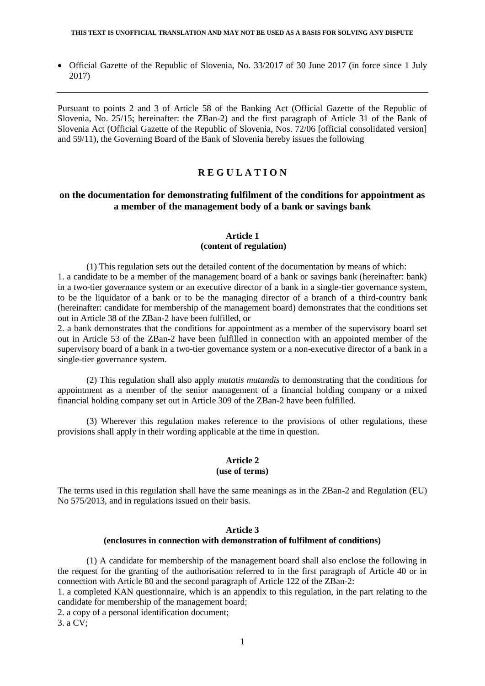• Official Gazette of the Republic of Slovenia, No. 33/2017 of 30 June 2017 (in force since 1 July 2017)

Pursuant to points 2 and 3 of Article 58 of the Banking Act (Official Gazette of the Republic of Slovenia, No. 25/15; hereinafter: the ZBan-2) and the first paragraph of Article 31 of the Bank of Slovenia Act (Official Gazette of the Republic of Slovenia, Nos. 72/06 [official consolidated version] and 59/11), the Governing Board of the Bank of Slovenia hereby issues the following

# **R E G U L A T I O N**

# **on the documentation for demonstrating fulfilment of the conditions for appointment as a member of the management body of a bank or savings bank**

### **Article 1 (content of regulation)**

(1) This regulation sets out the detailed content of the documentation by means of which: 1. a candidate to be a member of the management board of a bank or savings bank (hereinafter: bank) in a two-tier governance system or an executive director of a bank in a single-tier governance system, to be the liquidator of a bank or to be the managing director of a branch of a third-country bank (hereinafter: candidate for membership of the management board) demonstrates that the conditions set out in Article 38 of the ZBan-2 have been fulfilled, or

2. a bank demonstrates that the conditions for appointment as a member of the supervisory board set out in Article 53 of the ZBan-2 have been fulfilled in connection with an appointed member of the supervisory board of a bank in a two-tier governance system or a non-executive director of a bank in a single-tier governance system.

(2) This regulation shall also apply *mutatis mutandis* to demonstrating that the conditions for appointment as a member of the senior management of a financial holding company or a mixed financial holding company set out in Article 309 of the ZBan-2 have been fulfilled.

(3) Wherever this regulation makes reference to the provisions of other regulations, these provisions shall apply in their wording applicable at the time in question.

#### **Article 2 (use of terms)**

The terms used in this regulation shall have the same meanings as in the ZBan-2 and Regulation (EU) No 575/2013, and in regulations issued on their basis.

#### **Article 3**

### **(enclosures in connection with demonstration of fulfilment of conditions)**

(1) A candidate for membership of the management board shall also enclose the following in the request for the granting of the authorisation referred to in the first paragraph of Article 40 or in connection with Article 80 and the second paragraph of Article 122 of the ZBan-2:

1. a completed KAN questionnaire, which is an appendix to this regulation, in the part relating to the candidate for membership of the management board;

2. a copy of a personal identification document;

3. a CV;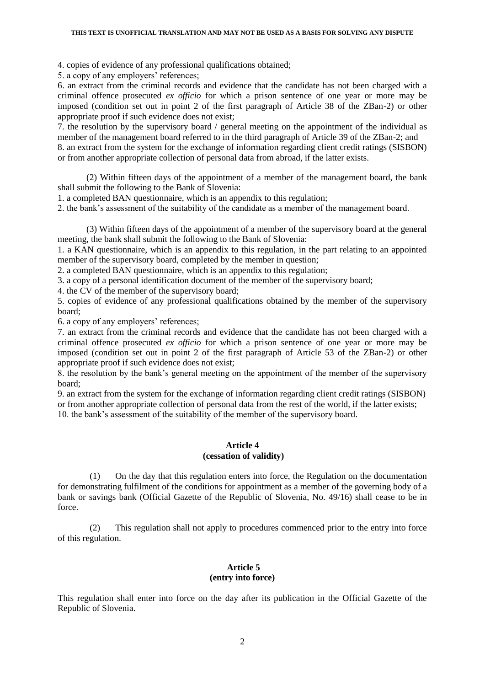4. copies of evidence of any professional qualifications obtained;

5. a copy of any employers' references;

6. an extract from the criminal records and evidence that the candidate has not been charged with a criminal offence prosecuted *ex officio* for which a prison sentence of one year or more may be imposed (condition set out in point 2 of the first paragraph of Article 38 of the ZBan-2) or other appropriate proof if such evidence does not exist;

7. the resolution by the supervisory board / general meeting on the appointment of the individual as member of the management board referred to in the third paragraph of Article 39 of the ZBan-2; and

8. an extract from the system for the exchange of information regarding client credit ratings (SISBON) or from another appropriate collection of personal data from abroad, if the latter exists.

(2) Within fifteen days of the appointment of a member of the management board, the bank shall submit the following to the Bank of Slovenia:

1. a completed BAN questionnaire, which is an appendix to this regulation;

2. the bank's assessment of the suitability of the candidate as a member of the management board.

(3) Within fifteen days of the appointment of a member of the supervisory board at the general meeting, the bank shall submit the following to the Bank of Slovenia:

1. a KAN questionnaire, which is an appendix to this regulation, in the part relating to an appointed member of the supervisory board, completed by the member in question;

2. a completed BAN questionnaire, which is an appendix to this regulation;

3. a copy of a personal identification document of the member of the supervisory board;

4. the CV of the member of the supervisory board;

5. copies of evidence of any professional qualifications obtained by the member of the supervisory board;

6. a copy of any employers' references;

7. an extract from the criminal records and evidence that the candidate has not been charged with a criminal offence prosecuted *ex officio* for which a prison sentence of one year or more may be imposed (condition set out in point 2 of the first paragraph of Article 53 of the ZBan-2) or other appropriate proof if such evidence does not exist;

8. the resolution by the bank's general meeting on the appointment of the member of the supervisory board;

9. an extract from the system for the exchange of information regarding client credit ratings (SISBON) or from another appropriate collection of personal data from the rest of the world, if the latter exists; 10. the bank's assessment of the suitability of the member of the supervisory board.

# **Article 4 (cessation of validity)**

(1) On the day that this regulation enters into force, the Regulation on the documentation for demonstrating fulfilment of the conditions for appointment as a member of the governing body of a bank or savings bank (Official Gazette of the Republic of Slovenia, No. 49/16) shall cease to be in force.

(2) This regulation shall not apply to procedures commenced prior to the entry into force of this regulation.

### **Article 5 (entry into force)**

This regulation shall enter into force on the day after its publication in the Official Gazette of the Republic of Slovenia.